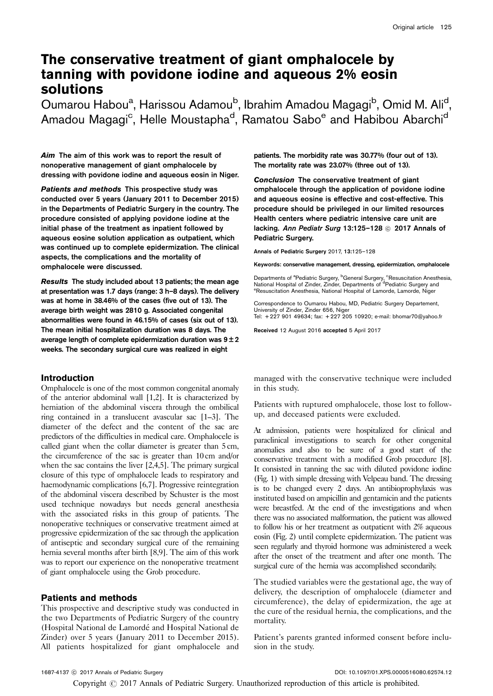# The conservative treatment of giant omphalocele by tanning with povidone iodine and aqueous 2% eosin solutions

Oumarou Habou<sup>a</sup>, Harissou Adamou<sup>b</sup>, Ibrahim Amadou Magagi<sup>b</sup>, Omid M. Ali<sup>d</sup>, Amadou Magagi<sup>c</sup>, Helle Moustapha<sup>d</sup>, Ramatou Sabo<sup>e</sup> and Habibou Abarchi<sup>d</sup>

Aim The aim of this work was to report the result of nonoperative management of giant omphalocele by dressing with povidone iodine and aqueous eosin in Niger.

Patients and methods This prospective study was conducted over 5 years (January 2011 to December 2015) in the Departments of Pediatric Surgery in the country. The procedure consisted of applying povidone iodine at the initial phase of the treatment as inpatient followed by aqueous eosine solution application as outpatient, which was continued up to complete epidermization. The clinical aspects, the complications and the mortality of omphalocele were discussed.

Results The study included about 13 patients; the mean age at presentation was 1.7 days (range: 3 h–8 days). The delivery was at home in 38.46% of the cases (five out of 13). The average birth weight was 2810 g. Associated congenital abnormalities were found in 46.15% of cases (six out of 13). The mean initial hospitalization duration was 8 days. The average length of complete epidermization duration was  $9 \pm 2$ weeks. The secondary surgical cure was realized in eight

## Introduction

Omphalocele is one of the most common congenital anomaly of the anterior abdominal wall [\[1,2](#page-3-0)]. It is characterized by herniation of the abdominal viscera through the ombilical ring contained in a translucent avascular sac [\[1–3](#page-3-0)]. The diameter of the defect and the content of the sac are predictors of the difficulties in medical care. Omphalocele is called giant when the collar diameter is greater than 5 cm, the circumference of the sac is greater than 10 cm and/or when the sac contains the liver [\[2,4,5\]](#page-3-0). The primary surgical closure of this type of omphalocele leads to respiratory and haemodynamic complications [\[6,7](#page-3-0)]. Progressive reintegration of the abdominal viscera described by Schuster is the most used technique nowadays but needs general anesthesia with the associated risks in this group of patients. The nonoperative techniques or conservative treatment aimed at progressive epidermization of the sac through the application of antiseptic and secondary surgical cure of the remaining hernia several months after birth [\[8,9\]](#page-3-0). The aim of this work was to report our experience on the nonoperative treatment of giant omphalocele using the Grob procedure.

### Patients and methods

This prospective and descriptive study was conducted in the two Departments of Pediatric Surgery of the country (Hospital National de Lamordé and Hospital National de Zinder) over 5 years (January 2011 to December 2015). All patients hospitalized for giant omphalocele and

patients. The morbidity rate was 30.77% (four out of 13). The mortality rate was 23.07% (three out of 13).

Conclusion The conservative treatment of giant omphalocele through the application of povidone iodine and aqueous eosine is effective and cost-effective. This procedure should be privileged in our limited resources Health centers where pediatric intensive care unit are lacking. Ann Pediatr Surg 13:125-128 @ 2017 Annals of Pediatric Surgery.

Annals of Pediatric Surgery 2017, 13:125–128

Keywords: conservative management, dressing, epidermization, omphalocele

Departments of <sup>a</sup>Pediatric Surgery, <sup>b</sup>General Surgery, <sup>c</sup>Resuscitation Anesthesia,<br>National Hospital of Zinder, Zinder, Departments of <sup>4</sup>Pediatric Surgery and<br><sup>e</sup>Peouseitation Aperthosis, National Heopital of Lamerdo, Resuscitation Anesthesia, National Hospital of Lamorde, Lamorde, Niger

Correspondence to Oumarou Habou, MD, Pediatric Surgery Departement, University of Zinder, Zinder 656, Nige Tel: + 227 901 49634; fax: + 227 205 10920; e-mail: [bhomar70@yahoo.fr](mailto:bhomar70@yahoo.fr)

Received 12 August 2016 accepted 5 April 2017

managed with the conservative technique were included in this study.

Patients with ruptured omphalocele, those lost to followup, and deceased patients were excluded.

At admission, patients were hospitalized for clinical and paraclinical investigations to search for other congenital anomalies and also to be sure of a good start of the conservative treatment with a modified Grob procedure [\[8\]](#page-3-0). It consisted in tanning the sac with diluted povidone iodine [\(Fig. 1](#page-1-0)) with simple dressing with Velpeau band. The dressing is to be changed every 2 days. An antibioprophylaxis was instituted based on ampicillin and gentamicin and the patients were breastfed. At the end of the investigations and when there was no associated malformation, the patient was allowed to follow his or her treatment as outpatient with 2% aqueous eosin [\(Fig. 2\)](#page-1-0) until complete epidermization. The patient was seen regularly and thyroid hormone was administered a week after the onset of the treatment and after one month. The surgical cure of the hernia was accomplished secondarily.

The studied variables were the gestational age, the way of delivery, the description of omphalocele (diameter and circumference), the delay of epidermization, the age at the cure of the residual hernia, the complications, and the mortality.

Patient's parents granted informed consent before inclusion in the study.

Copyright  $\odot$  2017 Annals of Pediatric Surgery. Unauthorized reproduction of this article is prohibited.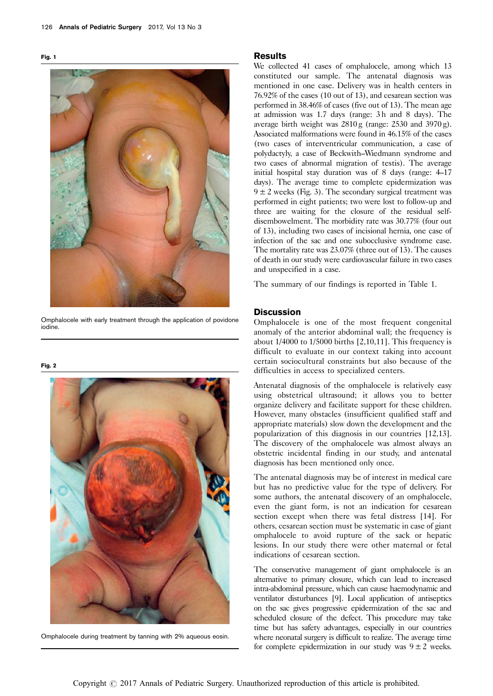<span id="page-1-0"></span>

Omphalocele with early treatment through the application of povidone iodine.

Fig. 2



Omphalocele during treatment by tanning with 2% aqueous eosin.

#### Results

We collected 41 cases of omphalocele, among which 13 constituted our sample. The antenatal diagnosis was mentioned in one case. Delivery was in health centers in 76.92% of the cases (10 out of 13), and cesarean section was performed in 38.46% of cases (five out of 13). The mean age at admission was 1.7 days (range: 3 h and 8 days). The average birth weight was 2810 g (range: 2530 and 3970 g). Associated malformations were found in 46.15% of the cases (two cases of interventricular communication, a case of polydactyly, a case of Beckwith–Wiedmann syndrome and two cases of abnormal migration of testis). The average initial hospital stay duration was of 8 days (range: 4–17 days). The average time to complete epidermization was  $9 \pm 2$  weeks [\(Fig. 3](#page-2-0)). The secondary surgical treatment was performed in eight patients; two were lost to follow-up and three are waiting for the closure of the residual selfdisembowelment. The morbidity rate was 30.77% (four out of 13), including two cases of incisional hernia, one case of infection of the sac and one subocclusive syndrome case. The mortality rate was 23.07% (three out of 13). The causes of death in our study were cardiovascular failure in two cases and unspecified in a case.

The summary of our findings is reported in [Table 1](#page-2-0).

#### **Discussion**

Omphalocele is one of the most frequent congenital anomaly of the anterior abdominal wall; the frequency is about 1/4000 to 1/5000 births [\[2,10,11](#page-3-0)]. This frequency is difficult to evaluate in our context taking into account certain sociocultural constraints but also because of the difficulties in access to specialized centers.

Antenatal diagnosis of the omphalocele is relatively easy using obstetrical ultrasound; it allows you to better organize delivery and facilitate support for these children. However, many obstacles (insufficient qualified staff and appropriate materials) slow down the development and the popularization of this diagnosis in our countries [\[12,13](#page-3-0)]. The discovery of the omphalocele was almost always an obstetric incidental finding in our study, and antenatal diagnosis has been mentioned only once.

The antenatal diagnosis may be of interest in medical care but has no predictive value for the type of delivery. For some authors, the antenatal discovery of an omphalocele, even the giant form, is not an indication for cesarean section except when there was fetal distress [\[14](#page-3-0)]. For others, cesarean section must be systematic in case of giant omphalocele to avoid rupture of the sack or hepatic lesions. In our study there were other maternal or fetal indications of cesarean section.

The conservative management of giant omphalocele is an alternative to primary closure, which can lead to increased intra-abdominal pressure, which can cause haemodynamic and ventilator disturbances [\[9\]](#page-3-0). Local application of antiseptics on the sac gives progressive epidermization of the sac and scheduled closure of the defect. This procedure may take time but has safety advantages, especially in our countries where neonatal surgery is difficult to realize. The average time for complete epidermization in our study was  $9 \pm 2$  weeks.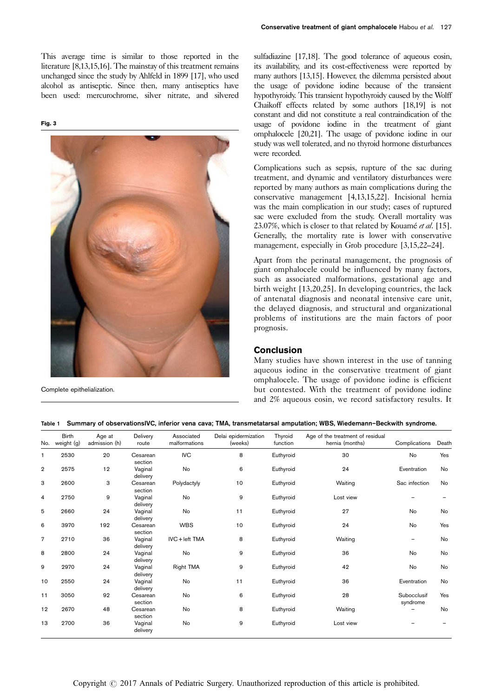<span id="page-2-0"></span>This average time is similar to those reported in the literature [\[8,13,15,16](#page-3-0)]. The mainstay of this treatment remains unchanged since the study by Ahlfeld in 1899 [\[17\]](#page-3-0), who used alcohol as antiseptic. Since then, many antiseptics have been used: mercurochrome, silver nitrate, and silvered

Fig. 3



Complete epithelialization.

sulfadiazine [\[17,18](#page-3-0)]. The good tolerance of aqueous eosin, its availability, and its cost-effectiveness were reported by many authors [\[13,15\]](#page-3-0). However, the dilemma persisted about the usage of povidone iodine because of the transient hypothyroidy. This transient hypothyroidy caused by the Wolff Chaikoff effects related by some authors [\[18,19\]](#page-3-0) is not constant and did not constitute a real contraindication of the usage of povidone iodine in the treatment of giant omphalocele [\[20,21\]](#page-3-0). The usage of povidone iodine in our study was well tolerated, and no thyroid hormone disturbances were recorded.

Complications such as sepsis, rupture of the sac during treatment, and dynamic and ventilatory disturbances were reported by many authors as main complications during the conservative management [\[4,13,15,22\]](#page-3-0). Incisional hernia was the main complication in our study; cases of ruptured sac were excluded from the study. Overall mortality was 23.07%, which is closer to that related by Kouamé et al. [\[15](#page-3-0)]. Generally, the mortality rate is lower with conservative management, especially in Grob procedure [\[3,15,22–24](#page-3-0)].

Apart from the perinatal management, the prognosis of giant omphalocele could be influenced by many factors, such as associated malformations, gestational age and birth weight [\[13,20,25\]](#page-3-0). In developing countries, the lack of antenatal diagnosis and neonatal intensive care unit, the delayed diagnosis, and structural and organizational problems of institutions are the main factors of poor prognosis.

# Conclusion

Many studies have shown interest in the use of tanning aqueous iodine in the conservative treatment of giant omphalocele. The usage of povidone iodine is efficient but contested. With the treatment of povidone iodine and 2% aqueous eosin, we record satisfactory results. It

|  |  |  | Table 1 Summary of observationsIVC, inferior vena cava; TMA, transmetatarsal amputation; WBS, Wiedemann-Beckwith syndrome. |  |  |  |  |  |  |  |
|--|--|--|----------------------------------------------------------------------------------------------------------------------------|--|--|--|--|--|--|--|
|--|--|--|----------------------------------------------------------------------------------------------------------------------------|--|--|--|--|--|--|--|

| No.            | <b>Birth</b><br>weight (g) | Age at<br>admission (h) | Delivery<br>route   | Associated<br>malformations | Delai epidermization<br>(weeks) | Thyroid<br>Age of the treatment of residual<br>function<br>hernia (months) |           | Complications           | Death     |
|----------------|----------------------------|-------------------------|---------------------|-----------------------------|---------------------------------|----------------------------------------------------------------------------|-----------|-------------------------|-----------|
| 1              | 2530                       | 20                      | Cesarean<br>section | <b>IVC</b>                  | 8                               | Euthyroid                                                                  | 30        | No                      | Yes       |
| $\overline{2}$ | 2575                       | 12                      | Vaginal<br>delivery | No                          | 6                               | Euthyroid                                                                  | 24        | Eventration             | <b>No</b> |
| 3              | 2600                       | 3                       | Cesarean<br>section | Polydactyly                 | 10                              | Euthyroid                                                                  | Waiting   | Sac infection           | <b>No</b> |
| 4              | 2750                       | 9                       | Vaginal<br>delivery | No                          | 9                               | Euthyroid                                                                  | Lost view |                         |           |
| 5              | 2660                       | 24                      | Vaginal<br>delivery | No                          | 11                              | Euthyroid                                                                  | 27        | No                      | No        |
| 6              | 3970                       | 192                     | Cesarean<br>section | <b>WBS</b>                  | 10                              | Euthyroid                                                                  | 24        | No                      | Yes       |
| $\overline{7}$ | 2710                       | 36                      | Vaginal<br>delivery | IVC + left TMA              | 8                               | Euthyroid                                                                  | Waiting   |                         | No        |
| 8              | 2800                       | 24                      | Vaginal<br>delivery | No                          | 9                               | Euthyroid                                                                  | 36        | No                      | No        |
| 9              | 2970                       | 24                      | Vaginal<br>delivery | Right TMA                   | 9                               | Euthyroid                                                                  | 42        | No                      | No        |
| 10             | 2550                       | 24                      | Vaginal<br>delivery | No                          | 11                              | Euthyroid                                                                  | 36        | Eventration             | No        |
| 11             | 3050                       | 92                      | Cesarean<br>section | No                          | 6                               | Euthyroid                                                                  | 28        | Subocclusif<br>syndrome | Yes       |
| 12             | 2670                       | 48                      | Cesarean<br>section | <b>No</b>                   | 8                               | Euthyroid                                                                  | Waiting   |                         | No        |
| 13             | 2700                       | 36                      | Vaginal<br>delivery | No                          | 9                               | Euthyroid                                                                  | Lost view |                         |           |